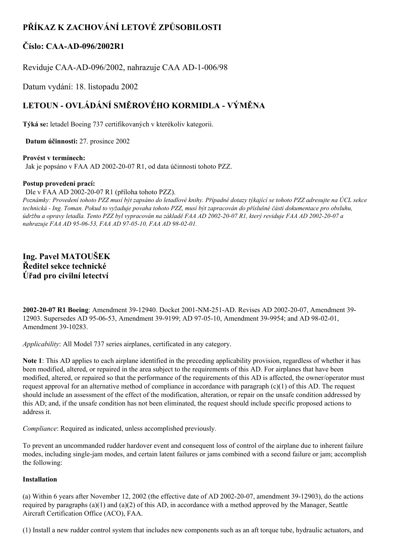# **PŘÍKAZ K ZACHOVÁNÍ LETOVÉ ZPŮSOBILOSTI**

# **Číslo: CAAAD096/2002R1**

Reviduje CAA-AD-096/2002, nahrazuje CAA AD-1-006/98

Datum vydání: 18. listopadu 2002

# **LETOUN OVLÁDÁNÍ SMĚROVÉHO KORMIDLA VÝMĚNA**

**Týká se:** letadel Boeing 737 certifikovaných v kterékoliv kategorii.

**Datum účinnosti:** 27. prosince 2002

## **Provést v termínech:**

Jak je popsáno v FAA AD 2002-20-07 R1, od data účinnosti tohoto PZZ.

## **Postup provedení prací:**

Dle v FAA AD 2002-20-07 R1 (příloha tohoto PZZ).

Poznámky: Provedení tohoto PZZ musí být zapsáno do letadlové knihy. Případné dotazy týkající se tohoto PZZ adresujte na ÚCL sekce technická - Ing. Toman. Pokud to vyžaduje povaha tohoto PZZ, musí být zapracován do příslušné části dokumentace pro obsluhu, údržbu a opravy letadla. Tento PZZ byl vypracován na základě FAA AD 2002-20-07 R1, který reviduje FAA AD 2002-20-07 a *nahrazuje FAA AD* 95-06-53, *FAA AD* 97-05-10, *FAA AD* 98-02-01.

**Ing. Pavel MATOUŠEK Ředitel sekce technické Úřad pro civilní letectví**

2002-20-07 R1 Boeing: Amendment 39-12940. Docket 2001-NM-251-AD. Revises AD 2002-20-07, Amendment 39-12903. Supersedes AD 95-06-53, Amendment 39-9199; AD 97-05-10, Amendment 39-9954; and AD 98-02-01, Amendment 39-10283.

*Applicability*: All Model 737 series airplanes, certificated in any category.

**Note 1**: This AD applies to each airplane identified in the preceding applicability provision, regardless of whether it has been modified, altered, or repaired in the area subject to the requirements of this AD. For airplanes that have been modified, altered, or repaired so that the performance of the requirements of this AD is affected, the owner/operator must request approval for an alternative method of compliance in accordance with paragraph  $(c)(1)$  of this AD. The request should include an assessment of the effect of the modification, alteration, or repair on the unsafe condition addressed by this AD; and, if the unsafe condition has not been eliminated, the request should include specific proposed actions to address it.

*Compliance*: Required as indicated, unless accomplished previously.

To prevent an uncommanded rudder hardover event and consequent loss of control of the airplane due to inherent failure modes, including single-jam modes, and certain latent failures or jams combined with a second failure or jam; accomplish the following:

## **Installation**

(a) Within 6 years after November 12, 2002 (the effective date of AD 2002-20-07, amendment 39-12903), do the actions required by paragraphs (a)(1) and (a)(2) of this AD, in accordance with a method approved by the Manager, Seattle Aircraft Certification Office (ACO), FAA.

(1) Install a new rudder control system that includes new components such as an aft torque tube, hydraulic actuators, and